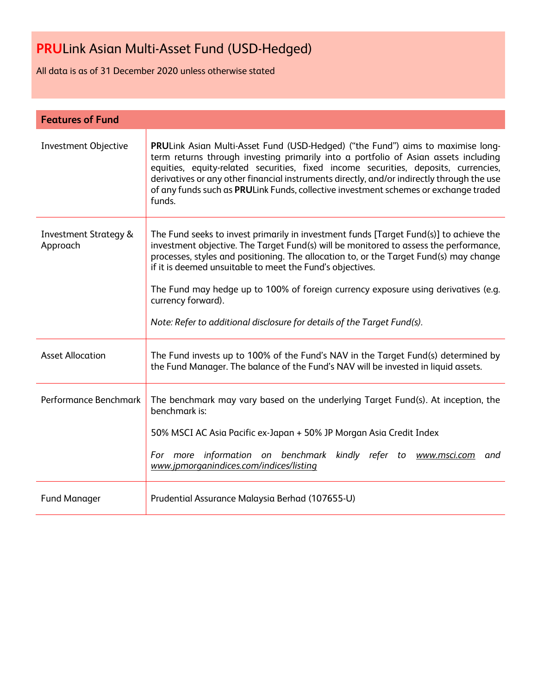All data is as of 31 December 2020 unless otherwise stated

| <b>Features of Fund</b>                      |                                                                                                                                                                                                                                                                                                                                                                                                                                                                                                                               |  |
|----------------------------------------------|-------------------------------------------------------------------------------------------------------------------------------------------------------------------------------------------------------------------------------------------------------------------------------------------------------------------------------------------------------------------------------------------------------------------------------------------------------------------------------------------------------------------------------|--|
| <b>Investment Objective</b>                  | PRULink Asian Multi-Asset Fund (USD-Hedged) ("the Fund") aims to maximise long-<br>term returns through investing primarily into a portfolio of Asian assets including<br>equities, equity-related securities, fixed income securities, deposits, currencies,<br>derivatives or any other financial instruments directly, and/or indirectly through the use<br>of any funds such as PRULink Funds, collective investment schemes or exchange traded<br>funds.                                                                 |  |
| <b>Investment Strategy &amp;</b><br>Approach | The Fund seeks to invest primarily in investment funds [Target Fund(s)] to achieve the<br>investment objective. The Target Fund(s) will be monitored to assess the performance,<br>processes, styles and positioning. The allocation to, or the Target Fund(s) may change<br>if it is deemed unsuitable to meet the Fund's objectives.<br>The Fund may hedge up to 100% of foreign currency exposure using derivatives (e.g.<br>currency forward).<br>Note: Refer to additional disclosure for details of the Target Fund(s). |  |
| <b>Asset Allocation</b>                      | The Fund invests up to 100% of the Fund's NAV in the Target Fund(s) determined by<br>the Fund Manager. The balance of the Fund's NAV will be invested in liquid assets.                                                                                                                                                                                                                                                                                                                                                       |  |
| Performance Benchmark                        | The benchmark may vary based on the underlying Target Fund(s). At inception, the<br>benchmark is:<br>50% MSCI AC Asia Pacific ex-Japan + 50% JP Morgan Asia Credit Index<br>For more information on benchmark kindly refer to www.msci.com and<br>www.jpmorganindices.com/indices/listing                                                                                                                                                                                                                                     |  |
| <b>Fund Manager</b>                          | Prudential Assurance Malaysia Berhad (107655-U)                                                                                                                                                                                                                                                                                                                                                                                                                                                                               |  |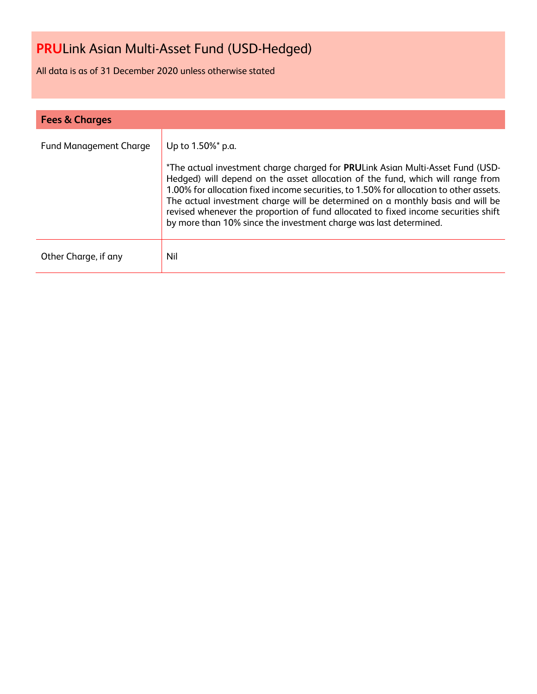All data is as of 31 December 2020 unless otherwise stated

| <b>Fees &amp; Charges</b>     |                                                                                                                                                                                                                                                                                                                                                                                                                                                                                                                              |  |  |
|-------------------------------|------------------------------------------------------------------------------------------------------------------------------------------------------------------------------------------------------------------------------------------------------------------------------------------------------------------------------------------------------------------------------------------------------------------------------------------------------------------------------------------------------------------------------|--|--|
| <b>Fund Management Charge</b> | Up to 1.50%* p.a.<br>*The actual investment charge charged for PRULink Asian Multi-Asset Fund (USD-<br>Hedged) will depend on the asset allocation of the fund, which will range from<br>1.00% for allocation fixed income securities, to 1.50% for allocation to other assets.<br>The actual investment charge will be determined on a monthly basis and will be<br>revised whenever the proportion of fund allocated to fixed income securities shift<br>by more than 10% since the investment charge was last determined. |  |  |
| Other Charge, if any          | Nil                                                                                                                                                                                                                                                                                                                                                                                                                                                                                                                          |  |  |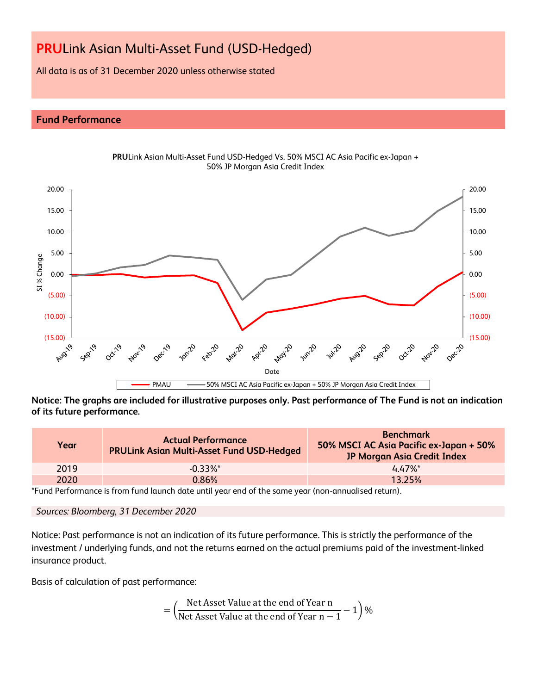All data is as of 31 December 2020 unless otherwise stated

# **Fund Performance**



**PRU**Link Asian Multi-Asset Fund USD-Hedged Vs. 50% MSCI AC Asia Pacific ex-Japan + 50% JP Morgan Asia Credit Index

**Notice: The graphs are included for illustrative purposes only. Past performance of The Fund is not an indication of its future performance.**

| Year | <b>Actual Performance</b><br><b>PRULink Asian Multi-Asset Fund USD-Hedged</b> | <b>Benchmark</b><br>50% MSCI AC Asia Pacific ex-Japan + 50%<br>JP Morgan Asia Credit Index |  |  |
|------|-------------------------------------------------------------------------------|--------------------------------------------------------------------------------------------|--|--|
| 2019 | $-0.33\%$ <sup>*</sup>                                                        | $447\%$ *                                                                                  |  |  |
| 2020 | 0.86%                                                                         | 13.25%                                                                                     |  |  |

\*Fund Performance is from fund launch date until year end of the same year (non-annualised return).

# *Sources: Bloomberg, 31 December 2020*

Notice: Past performance is not an indication of its future performance. This is strictly the performance of the investment / underlying funds, and not the returns earned on the actual premiums paid of the investment-linked insurance product.

Basis of calculation of past performance:

$$
= \left(\frac{\text{Net Asset Value at the end of Year n}}{\text{Net Asset Value at the end of Year n} - 1}\right)\%
$$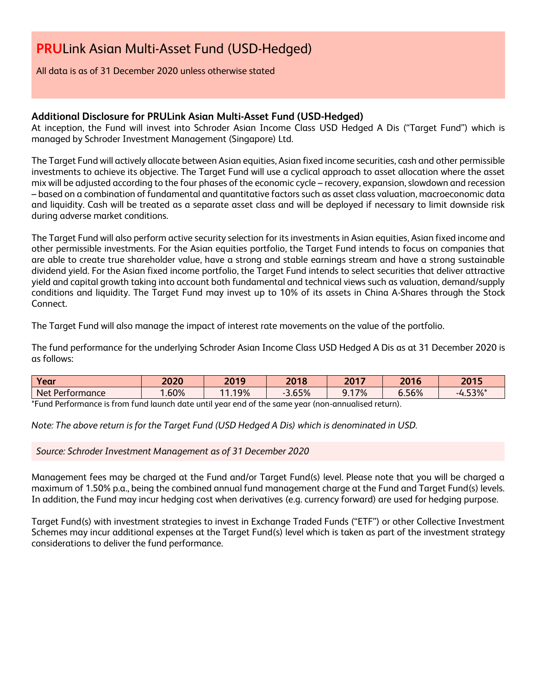All data is as of 31 December 2020 unless otherwise stated

# **Additional Disclosure for PRULink Asian Multi-Asset Fund (USD-Hedged)**

At inception, the Fund will invest into Schroder Asian Income Class USD Hedged A Dis ("Target Fund") which is managed by Schroder Investment Management (Singapore) Ltd.

The Target Fund will actively allocate between Asian equities, Asian fixed income securities, cash and other permissible investments to achieve its objective. The Target Fund will use a cyclical approach to asset allocation where the asset mix will be adjusted according to the four phases of the economic cycle – recovery, expansion, slowdown and recession – based on a combination of fundamental and quantitative factors such as asset class valuation, macroeconomic data and liquidity. Cash will be treated as a separate asset class and will be deployed if necessary to limit downside risk during adverse market conditions.

The Target Fund will also perform active security selection for its investments in Asian equities, Asian fixed income and other permissible investments. For the Asian equities portfolio, the Target Fund intends to focus on companies that are able to create true shareholder value, have a strong and stable earnings stream and have a strong sustainable dividend yield. For the Asian fixed income portfolio, the Target Fund intends to select securities that deliver attractive yield and capital growth taking into account both fundamental and technical views such as valuation, demand/supply conditions and liquidity. The Target Fund may invest up to 10% of its assets in China A-Shares through the Stock Connect.

The Target Fund will also manage the impact of interest rate movements on the value of the portfolio.

The fund performance for the underlying Schroder Asian Income Class USD Hedged A Dis as at 31 December 2020 is as follows:

| Year              | 2020 | 2019      | 2018  | 2017      | 2016  | 2015              |
|-------------------|------|-----------|-------|-----------|-------|-------------------|
| Net Performance   | .60% | 19%<br>11 | 3.65% | 17%<br>◞. | 6.56% | $1.53\%$ *<br>- - |
| $+$ $-$<br>ּ<br>. |      |           |       |           |       |                   |

Fund Performance is from fund launch date until year end of the same year (non-annualised return).

*Note: The above return is for the Target Fund (USD Hedged A Dis) which is denominated in USD.*

*Source: Schroder Investment Management as of 31 December 2020*

Management fees may be charged at the Fund and/or Target Fund(s) level. Please note that you will be charged a maximum of 1.50% p.a., being the combined annual fund management charge at the Fund and Target Fund(s) levels. In addition, the Fund may incur hedging cost when derivatives (e.g. currency forward) are used for hedging purpose.

Target Fund(s) with investment strategies to invest in Exchange Traded Funds ("ETF") or other Collective Investment Schemes may incur additional expenses at the Target Fund(s) level which is taken as part of the investment strategy considerations to deliver the fund performance.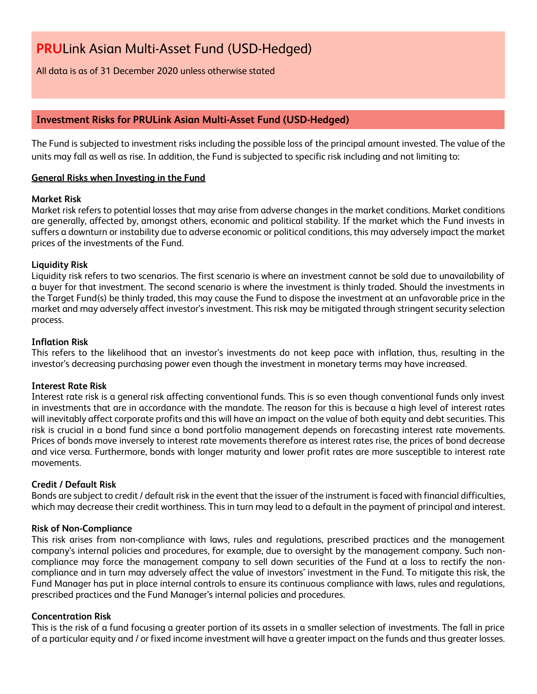All data is as of 31 December 2020 unless otherwise stated

# **Investment Risks for PRULink Asian Multi-Asset Fund (USD-Hedged)**

The Fund is subjected to investment risks including the possible loss of the principal amount invested. The value of the units may fall as well as rise. In addition, the Fund is subjected to specific risk including and not limiting to:

# **General Risks when Investing in the Fund**

# **Market Risk**

Market risk refers to potential losses that may arise from adverse changes in the market conditions. Market conditions are generally, affected by, amongst others, economic and political stability. If the market which the Fund invests in suffers a downturn or instability due to adverse economic or political conditions, this may adversely impact the market prices of the investments of the Fund.

# **Liquidity Risk**

Liquidity risk refers to two scenarios. The first scenario is where an investment cannot be sold due to unavailability of a buyer for that investment. The second scenario is where the investment is thinly traded. Should the investments in the Target Fund(s) be thinly traded, this may cause the Fund to dispose the investment at an unfavorable price in the market and may adversely affect investor's investment. This risk may be mitigated through stringent security selection process.

# **Inflation Risk**

This refers to the likelihood that an investor's investments do not keep pace with inflation, thus, resulting in the investor's decreasing purchasing power even though the investment in monetary terms may have increased.

# **Interest Rate Risk**

Interest rate risk is a general risk affecting conventional funds. This is so even though conventional funds only invest in investments that are in accordance with the mandate. The reason for this is because a high level of interest rates will inevitably affect corporate profits and this will have an impact on the value of both equity and debt securities. This risk is crucial in a bond fund since a bond portfolio management depends on forecasting interest rate movements. Prices of bonds move inversely to interest rate movements therefore as interest rates rise, the prices of bond decrease and vice versa. Furthermore, bonds with longer maturity and lower profit rates are more susceptible to interest rate movements.

# **Credit / Default Risk**

Bonds are subject to credit / default risk in the event that the issuer of the instrument is faced with financial difficulties, which may decrease their credit worthiness. This in turn may lead to a default in the payment of principal and interest.

# **Risk of Non-Compliance**

This risk arises from non-compliance with laws, rules and regulations, prescribed practices and the management company's internal policies and procedures, for example, due to oversight by the management company. Such noncompliance may force the management company to sell down securities of the Fund at a loss to rectify the noncompliance and in turn may adversely affect the value of investors' investment in the Fund. To mitigate this risk, the Fund Manager has put in place internal controls to ensure its continuous compliance with laws, rules and regulations, prescribed practices and the Fund Manager's internal policies and procedures.

# **Concentration Risk**

This is the risk of a fund focusing a greater portion of its assets in a smaller selection of investments. The fall in price of a particular equity and / or fixed income investment will have a greater impact on the funds and thus greater losses.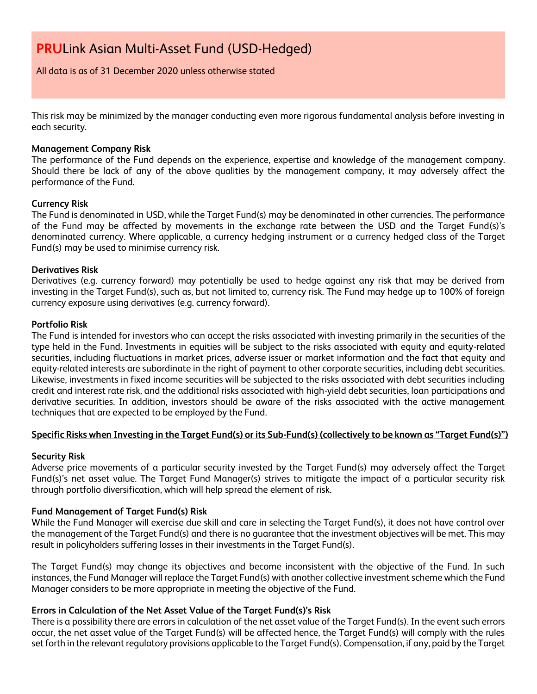All data is as of 31 December 2020 unless otherwise stated

This risk may be minimized by the manager conducting even more rigorous fundamental analysis before investing in each security.

#### **Management Company Risk**

The performance of the Fund depends on the experience, expertise and knowledge of the management company. Should there be lack of any of the above qualities by the management company, it may adversely affect the performance of the Fund.

#### **Currency Risk**

The Fund is denominated in USD, while the Target Fund(s) may be denominated in other currencies. The performance of the Fund may be affected by movements in the exchange rate between the USD and the Target Fund(s)'s denominated currency. Where applicable, a currency hedging instrument or a currency hedged class of the Target Fund(s) may be used to minimise currency risk.

#### **Derivatives Risk**

Derivatives (e.g. currency forward) may potentially be used to hedge against any risk that may be derived from investing in the Target Fund(s), such as, but not limited to, currency risk. The Fund may hedge up to 100% of foreign currency exposure using derivatives (e.g. currency forward).

#### **Portfolio Risk**

The Fund is intended for investors who can accept the risks associated with investing primarily in the securities of the type held in the Fund. Investments in equities will be subject to the risks associated with equity and equity-related securities, including fluctuations in market prices, adverse issuer or market information and the fact that equity and equity-related interests are subordinate in the right of payment to other corporate securities, including debt securities. Likewise, investments in fixed income securities will be subjected to the risks associated with debt securities including credit and interest rate risk, and the additional risks associated with high-yield debt securities, loan participations and derivative securities. In addition, investors should be aware of the risks associated with the active management techniques that are expected to be employed by the Fund.

# **Specific Risks when Investing in the Target Fund(s) or its Sub-Fund(s) (collectively to be known as "Target Fund(s)")**

# **Security Risk**

Adverse price movements of a particular security invested by the Target Fund(s) may adversely affect the Target Fund(s)'s net asset value. The Target Fund Manager(s) strives to mitigate the impact of a particular security risk through portfolio diversification, which will help spread the element of risk.

# **Fund Management of Target Fund(s) Risk**

While the Fund Manager will exercise due skill and care in selecting the Target Fund(s), it does not have control over the management of the Target Fund(s) and there is no guarantee that the investment objectives will be met. This may result in policyholders suffering losses in their investments in the Target Fund(s).

The Target Fund(s) may change its objectives and become inconsistent with the objective of the Fund. In such instances, the Fund Manager will replace the Target Fund(s) with another collective investment scheme which the Fund Manager considers to be more appropriate in meeting the objective of the Fund.

# **Errors in Calculation of the Net Asset Value of the Target Fund(s)'s Risk**

There is a possibility there are errors in calculation of the net asset value of the Target Fund(s). In the event such errors occur, the net asset value of the Target Fund(s) will be affected hence, the Target Fund(s) will comply with the rules set forth in the relevant regulatory provisions applicable to the Target Fund(s). Compensation, if any, paid by the Target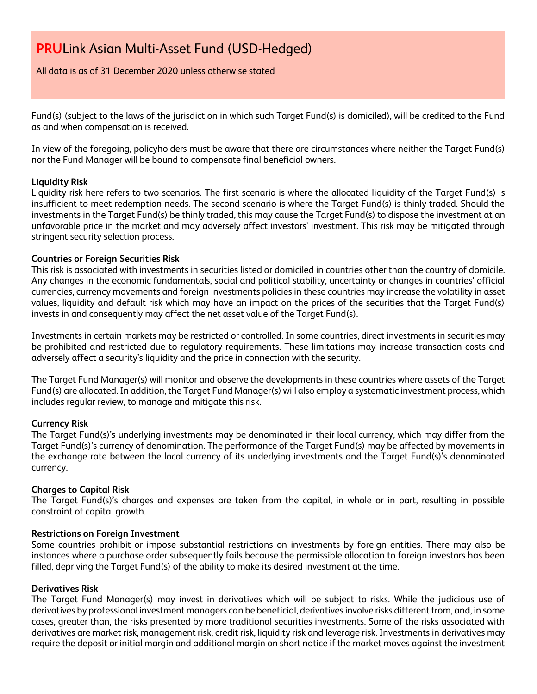All data is as of 31 December 2020 unless otherwise stated

Fund(s) (subject to the laws of the jurisdiction in which such Target Fund(s) is domiciled), will be credited to the Fund as and when compensation is received.

In view of the foregoing, policyholders must be aware that there are circumstances where neither the Target Fund(s) nor the Fund Manager will be bound to compensate final beneficial owners.

# **Liquidity Risk**

Liquidity risk here refers to two scenarios. The first scenario is where the allocated liquidity of the Target Fund(s) is insufficient to meet redemption needs. The second scenario is where the Target Fund(s) is thinly traded. Should the investments in the Target Fund(s) be thinly traded, this may cause the Target Fund(s) to dispose the investment at an unfavorable price in the market and may adversely affect investors' investment. This risk may be mitigated through stringent security selection process.

# **Countries or Foreign Securities Risk**

This risk is associated with investments in securities listed or domiciled in countries other than the country of domicile. Any changes in the economic fundamentals, social and political stability, uncertainty or changes in countries' official currencies, currency movements and foreign investments policies in these countries may increase the volatility in asset values, liquidity and default risk which may have an impact on the prices of the securities that the Target Fund(s) invests in and consequently may affect the net asset value of the Target Fund(s).

Investments in certain markets may be restricted or controlled. In some countries, direct investments in securities may be prohibited and restricted due to regulatory requirements. These limitations may increase transaction costs and adversely affect a security's liquidity and the price in connection with the security.

The Target Fund Manager(s) will monitor and observe the developments in these countries where assets of the Target Fund(s) are allocated. In addition, the Target Fund Manager(s) will also employ a systematic investment process, which includes regular review, to manage and mitigate this risk.

# **Currency Risk**

The Target Fund(s)'s underlying investments may be denominated in their local currency, which may differ from the Target Fund(s)'s currency of denomination. The performance of the Target Fund(s) may be affected by movements in the exchange rate between the local currency of its underlying investments and the Target Fund(s)'s denominated currency.

# **Charges to Capital Risk**

The Target Fund(s)'s charges and expenses are taken from the capital, in whole or in part, resulting in possible constraint of capital growth.

# **Restrictions on Foreign Investment**

Some countries prohibit or impose substantial restrictions on investments by foreign entities. There may also be instances where a purchase order subsequently fails because the permissible allocation to foreign investors has been filled, depriving the Target Fund(s) of the ability to make its desired investment at the time.

# **Derivatives Risk**

The Target Fund Manager(s) may invest in derivatives which will be subject to risks. While the judicious use of derivatives by professional investment managers can be beneficial, derivatives involve risks different from, and, in some cases, greater than, the risks presented by more traditional securities investments. Some of the risks associated with derivatives are market risk, management risk, credit risk, liquidity risk and leverage risk. Investments in derivatives may require the deposit or initial margin and additional margin on short notice if the market moves against the investment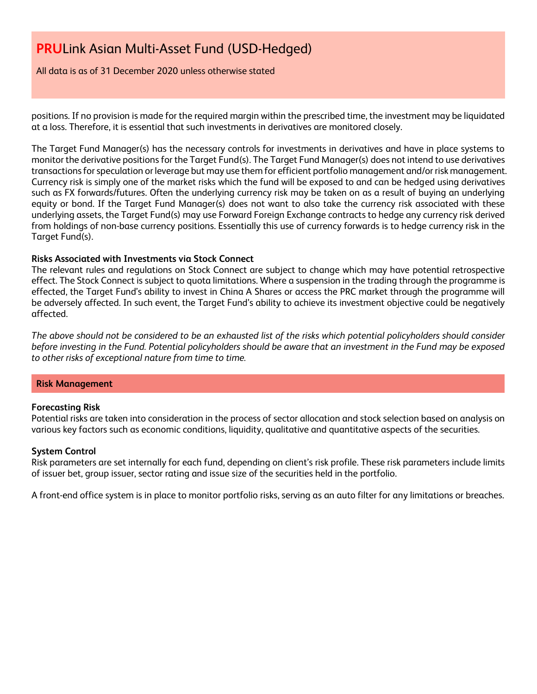All data is as of 31 December 2020 unless otherwise stated

positions. If no provision is made for the required margin within the prescribed time, the investment may be liquidated at a loss. Therefore, it is essential that such investments in derivatives are monitored closely.

The Target Fund Manager(s) has the necessary controls for investments in derivatives and have in place systems to monitor the derivative positions for the Target Fund(s). The Target Fund Manager(s) does not intend to use derivatives transactions for speculation or leverage but may use them for efficient portfolio management and/or risk management. Currency risk is simply one of the market risks which the fund will be exposed to and can be hedged using derivatives such as FX forwards/futures. Often the underlying currency risk may be taken on as a result of buying an underlying equity or bond. If the Target Fund Manager(s) does not want to also take the currency risk associated with these underlying assets, the Target Fund(s) may use Forward Foreign Exchange contracts to hedge any currency risk derived from holdings of non-base currency positions. Essentially this use of currency forwards is to hedge currency risk in the Target Fund(s).

# **Risks Associated with Investments via Stock Connect**

The relevant rules and regulations on Stock Connect are subject to change which may have potential retrospective effect. The Stock Connect is subject to quota limitations. Where a suspension in the trading through the programme is effected, the Target Fund's ability to invest in China A Shares or access the PRC market through the programme will be adversely affected. In such event, the Target Fund's ability to achieve its investment objective could be negatively affected.

*The above should not be considered to be an exhausted list of the risks which potential policyholders should consider before investing in the Fund. Potential policyholders should be aware that an investment in the Fund may be exposed to other risks of exceptional nature from time to time.*

# **Risk Management**

# **Forecasting Risk**

Potential risks are taken into consideration in the process of sector allocation and stock selection based on analysis on various key factors such as economic conditions, liquidity, qualitative and quantitative aspects of the securities.

# **System Control**

Risk parameters are set internally for each fund, depending on client's risk profile. These risk parameters include limits of issuer bet, group issuer, sector rating and issue size of the securities held in the portfolio.

A front-end office system is in place to monitor portfolio risks, serving as an auto filter for any limitations or breaches.